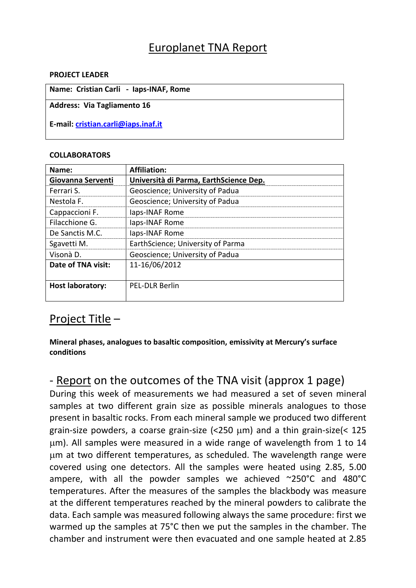## Europlanet TNA Report

#### **PROJECT LEADER**

| Name: Cristian Carli - Iaps-INAF, Rome |
|----------------------------------------|
| Address: Via Tagliamento 16            |
| E-mail: cristian.carli@iaps.inaf.it    |

#### **COLLABORATORS**

| Name:                   | Affiliation:                           |
|-------------------------|----------------------------------------|
| Giovanna Serventi       | Università di Parma, EarthScience Dep. |
| Ferrari S.              | Geoscience; University of Padua        |
| Nestola F.              | Geoscience; University of Padua        |
| Cappaccioni F.          | laps-INAF Rome                         |
| Filacchione G.          | laps-INAF Rome                         |
| De Sanctis M.C.         | laps-INAF Rome                         |
| Sgavetti M.             | EarthScience; University of Parma      |
| Visonà D.               | Geoscience; University of Padua        |
| Date of TNA visit:      | 11-16/06/2012                          |
|                         |                                        |
| <b>Host laboratory:</b> | <b>PEL-DLR Berlin</b>                  |
|                         |                                        |

### Project Title –

### **Mineral phases, analogues to basaltic composition, emissivity at Mercury's surface conditions**

# - Report on the outcomes of the TNA visit (approx 1 page)

During this week of measurements we had measured a set of seven mineral samples at two different grain size as possible minerals analogues to those present in basaltic rocks. From each mineral sample we produced two different grain-size powders, a coarse grain-size  $\left($  < 250  $\mu$ m) and a thin grain-size $\left($  < 125 m). All samples were measured in a wide range of wavelength from 1 to 14 m at two different temperatures, as scheduled. The wavelength range were covered using one detectors. All the samples were heated using 2.85, 5.00 ampere, with all the powder samples we achieved ~250°C and 480°C temperatures. After the measures of the samples the blackbody was measure at the different temperatures reached by the mineral powders to calibrate the data. Each sample was measured following always the same procedure: first we warmed up the samples at 75°C then we put the samples in the chamber. The chamber and instrument were then evacuated and one sample heated at 2.85